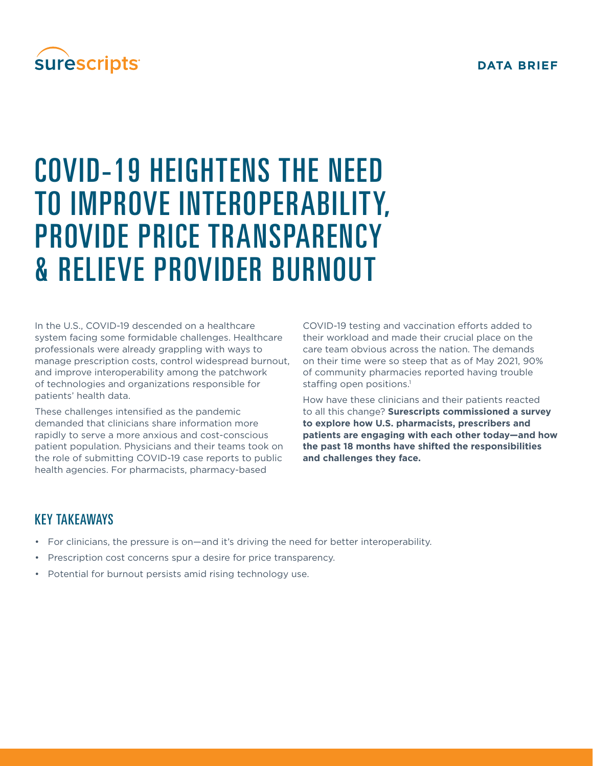#### **DATA BRIEF**

## **surescripts**

# COVID-19 HEIGHTENS THE NEED TO IMPROVE INTEROPERABILITY, PROVIDE PRICE TRANSPARENCY & RELIEVE PROVIDER BURNOUT

In the U.S., COVID-19 descended on a healthcare system facing some formidable challenges. Healthcare professionals were already grappling with ways to manage prescription costs, control widespread burnout, and improve interoperability among the patchwork of technologies and organizations responsible for patients' health data.

These challenges intensified as the pandemic demanded that clinicians share information more rapidly to serve a more anxious and cost-conscious patient population. Physicians and their teams took on the role of submitting COVID-19 case reports to public health agencies. For pharmacists, pharmacy-based

COVID-19 testing and vaccination efforts added to their workload and made their crucial place on the care team obvious across the nation. The demands on their time were so steep that as of May 2021, 90% of community pharmacies reported having trouble staffing open positions.<sup>1</sup>

How have these clinicians and their patients reacted to all this change? **Surescripts commissioned a survey to explore how U.S. pharmacists, prescribers and patients are engaging with each other today—and how the past 18 months have shifted the responsibilities and challenges they face.**

### KEY TAKEAWAYS

- For clinicians, the pressure is on—and it's driving the need for better interoperability.
- Prescription cost concerns spur a desire for price transparency.
- Potential for burnout persists amid rising technology use.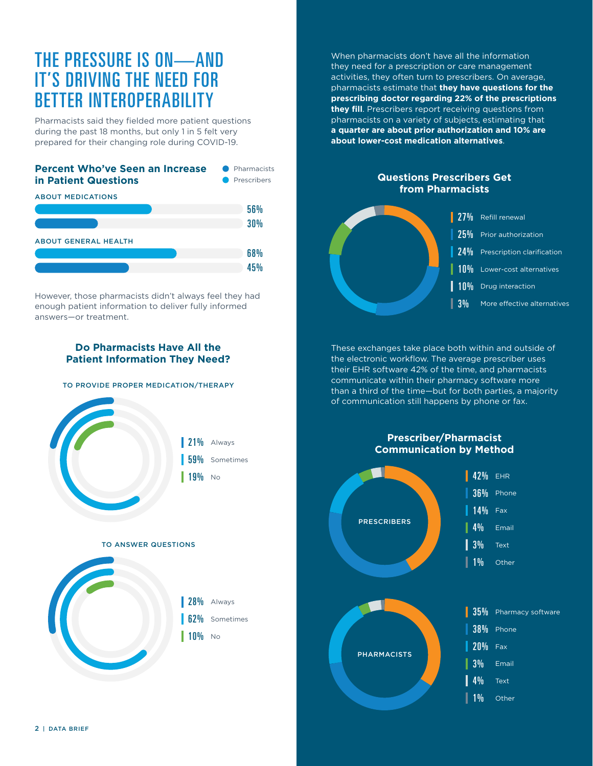### THE PRESSURE IS ON—AND IT'S DRIVING THE NEED FOR BETTER INTEROPERABILITY

Pharmacists said they fielded more patient questions during the past 18 months, but only 1 in 5 felt very prepared for their changing role during COVID-19.





However, those pharmacists didn't always feel they had enough patient information to deliver fully informed answers—or treatment.

#### **Do Pharmacists Have All the Patient Information They Need?**

#### TO PROVIDE PROPER MEDICATION/THERAPY



When pharmacists don't have all the information they need for a prescription or care management activities, they often turn to prescribers. On average, pharmacists estimate that **they have questions for the prescribing doctor regarding 22% of the prescriptions they fill**. Prescribers report receiving questions from pharmacists on a variety of subjects, estimating that **a quarter are about prior authorization and 10% are about lower-cost medication alternatives**.

#### **Questions Prescribers Get from Pharmacists**



These exchanges take place both within and outside of the electronic workflow. The average prescriber uses their EHR software 42% of the time, and pharmacists communicate within their pharmacy software more than a third of the time—but for both parties, a majority of communication still happens by phone or fax.

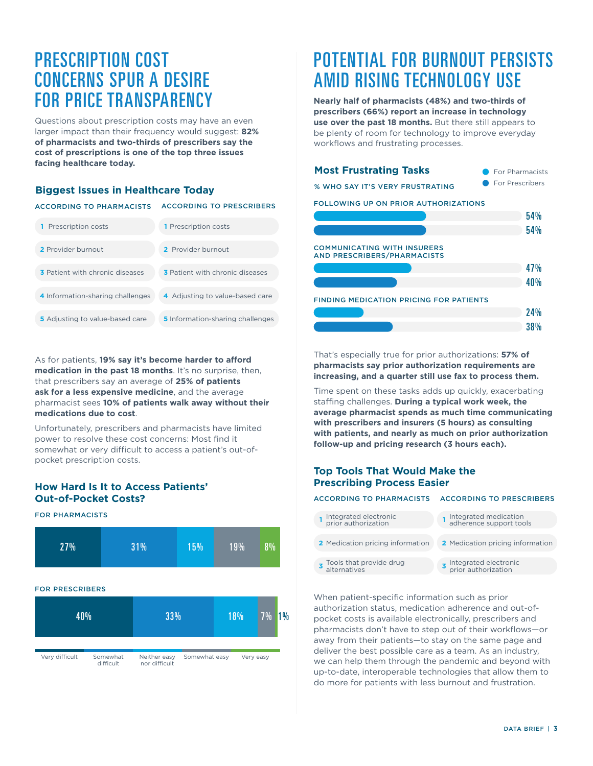### PRESCRIPTION COST CONCERNS SPUR A DESIRE FOR PRICE TRANSPARENCY

Questions about prescription costs may have an even larger impact than their frequency would suggest: **82% of pharmacists and two-thirds of prescribers say the cost of prescriptions is one of the top three issues facing healthcare today.**

#### **Biggest Issues in Healthcare Today**

#### ACCORDING TO PHARMACISTS ACCORDING TO PRESCRIBERS

| <b>1</b> Prescription costs            | <b>1</b> Prescription costs             |
|----------------------------------------|-----------------------------------------|
| 2 Provider burnout                     | 2 Provider burnout                      |
| <b>3</b> Patient with chronic diseases | <b>3</b> Patient with chronic diseases  |
| 4 Information-sharing challenges       | 4 Adjusting to value-based care         |
| <b>5</b> Adjusting to value-based care | <b>5</b> Information-sharing challenges |

As for patients, **19% say it's become harder to afford medication in the past 18 months.** It's no surprise, then, that prescribers say an average of **25% of patients ask for a less expensive medicine**, and the average pharmacist sees **10% of patients walk away without their medications due to cost**.

Unfortunately, prescribers and pharmacists have limited power to resolve these cost concerns: Most find it somewhat or very difficult to access a patient's out-ofpocket prescription costs.

#### **How Hard Is It to Access Patients' Out-of-Pocket Costs?**



## POTENTIAL FOR BURNOUT PERSISTS AMID RISING TECHNOLOGY USE

**Nearly half of pharmacists (48%) and two-thirds of prescribers (66%) report an increase in technology use over the past 18 months.** But there still appears to be plenty of room for technology to improve everyday workflows and frustrating processes.

| <b>Most Frustrating Tasks</b>                                            | <b>For Pharmacists</b> |  |
|--------------------------------------------------------------------------|------------------------|--|
| % WHO SAY IT'S VERY FRUSTRATING                                          | <b>For Prescribers</b> |  |
| FOLLOWING UP ON PRIOR AUTHORIZATIONS                                     |                        |  |
|                                                                          | 54%                    |  |
|                                                                          | 54 <sub>%</sub>        |  |
| <b>COMMUNICATING WITH INSURERS</b><br><b>AND PRESCRIBERS/PHARMACISTS</b> |                        |  |
|                                                                          | 47 <sub>%</sub>        |  |
|                                                                          | 40 <sub>%</sub>        |  |
| <b>FINDING MEDICATION PRICING FOR PATIENTS</b>                           |                        |  |
|                                                                          | 24%                    |  |
|                                                                          | <b>38%</b>             |  |

That's especially true for prior authorizations: **57% of pharmacists say prior authorization requirements are increasing, and a quarter still use fax to process them.** 

Time spent on these tasks adds up quickly, exacerbating staffing challenges. **During a typical work week, the average pharmacist spends as much time communicating with prescribers and insurers (5 hours) as consulting with patients, and nearly as much on prior authorization follow-up and pricing research (3 hours each).**

#### **Top Tools That Would Make the Prescribing Process Easier**

alternatives

#### ACCORDING TO PHARMACISTS ACCORDING TO PRESCRIBERS

- Medication pricing information **2** Medication pricing information **1** 2 Medication pricing information **<sup>1</sup>** Integrated electronic prior authorization Integrated medication adherence support tools
- **3** Tools that provide drug Integrated electronic prior authorization **3**

When patient-specific information such as prior authorization status, medication adherence and out-ofpocket costs is available electronically, prescribers and pharmacists don't have to step out of their workflows—or away from their patients—to stay on the same page and deliver the best possible care as a team. As an industry, we can help them through the pandemic and beyond with up-to-date, interoperable technologies that allow them to do more for patients with less burnout and frustration.